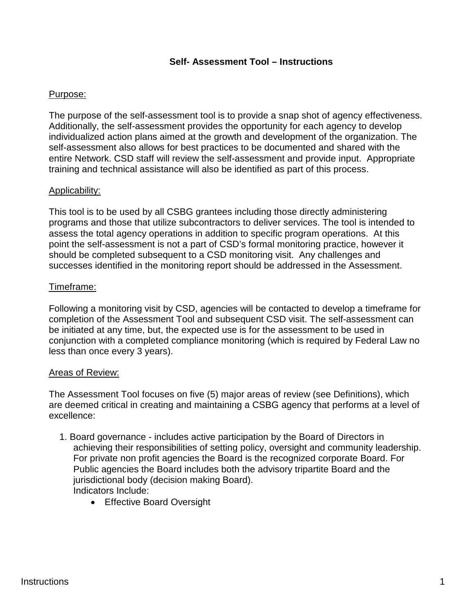#### **Self- Assessment Tool – Instructions**

#### Purpose:

The purpose of the self-assessment tool is to provide a snap shot of agency effectiveness. Additionally, the self-assessment provides the opportunity for each agency to develop individualized action plans aimed at the growth and development of the organization. The self-assessment also allows for best practices to be documented and shared with the entire Network. CSD staff will review the self-assessment and provide input. Appropriate training and technical assistance will also be identified as part of this process.

#### Applicability:

This tool is to be used by all CSBG grantees including those directly administering programs and those that utilize subcontractors to deliver services. The tool is intended to assess the total agency operations in addition to specific program operations. At this point the self-assessment is not a part of CSD's formal monitoring practice, however it should be completed subsequent to a CSD monitoring visit. Any challenges and successes identified in the monitoring report should be addressed in the Assessment.

#### Timeframe:

Following a monitoring visit by CSD, agencies will be contacted to develop a timeframe for completion of the Assessment Tool and subsequent CSD visit. The self-assessment can be initiated at any time, but, the expected use is for the assessment to be used in conjunction with a completed compliance monitoring (which is required by Federal Law no less than once every 3 years).

#### Areas of Review:

The Assessment Tool focuses on five (5) major areas of review (see Definitions), which are deemed critical in creating and maintaining a CSBG agency that performs at a level of excellence:

- 1. Board governance includes active participation by the Board of Directors in achieving their responsibilities of setting policy, oversight and community leadership. For private non profit agencies the Board is the recognized corporate Board. For Public agencies the Board includes both the advisory tripartite Board and the jurisdictional body (decision making Board). Indicators Include:
	- Effective Board Oversight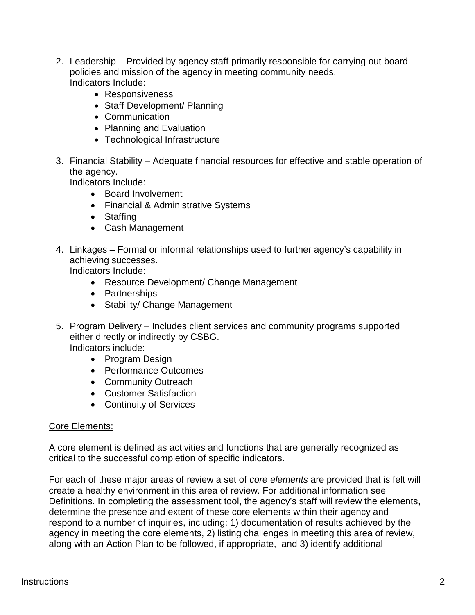- 2. Leadership Provided by agency staff primarily responsible for carrying out board policies and mission of the agency in meeting community needs. Indicators Include:
	- Responsiveness
	- Staff Development/ Planning
	- Communication
	- Planning and Evaluation
	- Technological Infrastructure
- 3. Financial Stability Adequate financial resources for effective and stable operation of the agency.

Indicators Include:

- Board Involvement
- Financial & Administrative Systems
- Staffing
- Cash Management
- 4. Linkages Formal or informal relationships used to further agency's capability in achieving successes.

Indicators Include:

- Resource Development/ Change Management
- Partnerships
- Stability/ Change Management
- 5. Program Delivery Includes client services and community programs supported either directly or indirectly by CSBG. Indicators include:
	- Program Design
	- Performance Outcomes
	- Community Outreach
	- Customer Satisfaction
	- Continuity of Services

#### Core Elements:

A core element is defined as activities and functions that are generally recognized as critical to the successful completion of specific indicators.

For each of these major areas of review a set of *core elements* are provided that is felt will create a healthy environment in this area of review. For additional information see Definitions. In completing the assessment tool, the agency's staff will review the elements, determine the presence and extent of these core elements within their agency and respond to a number of inquiries, including: 1) documentation of results achieved by the agency in meeting the core elements, 2) listing challenges in meeting this area of review, along with an Action Plan to be followed, if appropriate, and 3) identify additional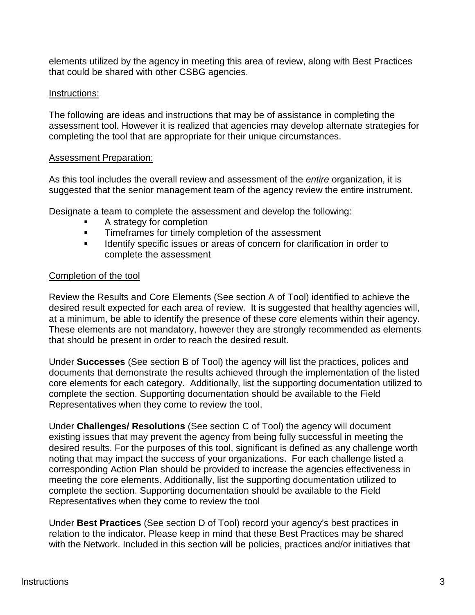elements utilized by the agency in meeting this area of review, along with Best Practices that could be shared with other CSBG agencies.

#### Instructions:

The following are ideas and instructions that may be of assistance in completing the assessment tool. However it is realized that agencies may develop alternate strategies for completing the tool that are appropriate for their unique circumstances.

#### Assessment Preparation:

As this tool includes the overall review and assessment of the *entire* organization, it is suggested that the senior management team of the agency review the entire instrument.

Designate a team to complete the assessment and develop the following:

- A strategy for completion
- **Timeframes for timely completion of the assessment**
- **IDENTIFY** Identify specific issues or areas of concern for clarification in order to complete the assessment

#### Completion of the tool

Review the Results and Core Elements (See section A of Tool) identified to achieve the desired result expected for each area of review. It is suggested that healthy agencies will, at a minimum, be able to identify the presence of these core elements within their agency. These elements are not mandatory, however they are strongly recommended as elements that should be present in order to reach the desired result.

Under **Successes** (See section B of Tool) the agency will list the practices, polices and documents that demonstrate the results achieved through the implementation of the listed core elements for each category. Additionally, list the supporting documentation utilized to complete the section. Supporting documentation should be available to the Field Representatives when they come to review the tool.

Under **Challenges/ Resolutions** (See section C of Tool) the agency will document existing issues that may prevent the agency from being fully successful in meeting the desired results. For the purposes of this tool, significant is defined as any challenge worth noting that may impact the success of your organizations. For each challenge listed a corresponding Action Plan should be provided to increase the agencies effectiveness in meeting the core elements. Additionally, list the supporting documentation utilized to complete the section. Supporting documentation should be available to the Field Representatives when they come to review the tool

Under **Best Practices** (See section D of Tool) record your agency's best practices in relation to the indicator. Please keep in mind that these Best Practices may be shared with the Network. Included in this section will be policies, practices and/or initiatives that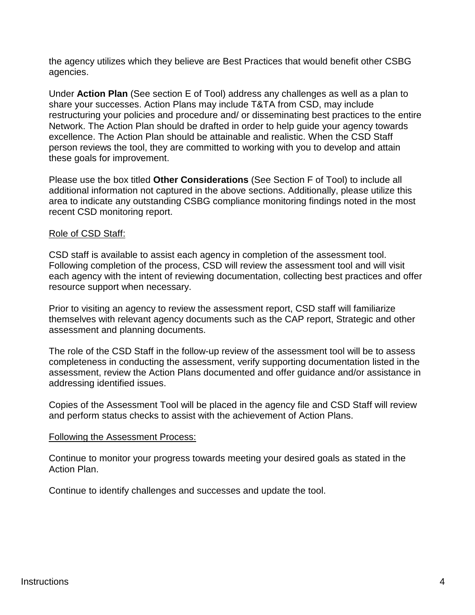the agency utilizes which they believe are Best Practices that would benefit other CSBG agencies.

Under **Action Plan** (See section E of Tool) address any challenges as well as a plan to share your successes. Action Plans may include T&TA from CSD, may include restructuring your policies and procedure and/ or disseminating best practices to the entire Network. The Action Plan should be drafted in order to help guide your agency towards excellence. The Action Plan should be attainable and realistic. When the CSD Staff person reviews the tool, they are committed to working with you to develop and attain these goals for improvement.

Please use the box titled **Other Considerations** (See Section F of Tool) to include all additional information not captured in the above sections. Additionally, please utilize this area to indicate any outstanding CSBG compliance monitoring findings noted in the most recent CSD monitoring report.

#### Role of CSD Staff:

CSD staff is available to assist each agency in completion of the assessment tool. Following completion of the process, CSD will review the assessment tool and will visit each agency with the intent of reviewing documentation, collecting best practices and offer resource support when necessary.

Prior to visiting an agency to review the assessment report, CSD staff will familiarize themselves with relevant agency documents such as the CAP report, Strategic and other assessment and planning documents.

The role of the CSD Staff in the follow-up review of the assessment tool will be to assess completeness in conducting the assessment, verify supporting documentation listed in the assessment, review the Action Plans documented and offer guidance and/or assistance in addressing identified issues.

Copies of the Assessment Tool will be placed in the agency file and CSD Staff will review and perform status checks to assist with the achievement of Action Plans.

#### Following the Assessment Process:

Continue to monitor your progress towards meeting your desired goals as stated in the Action Plan.

Continue to identify challenges and successes and update the tool.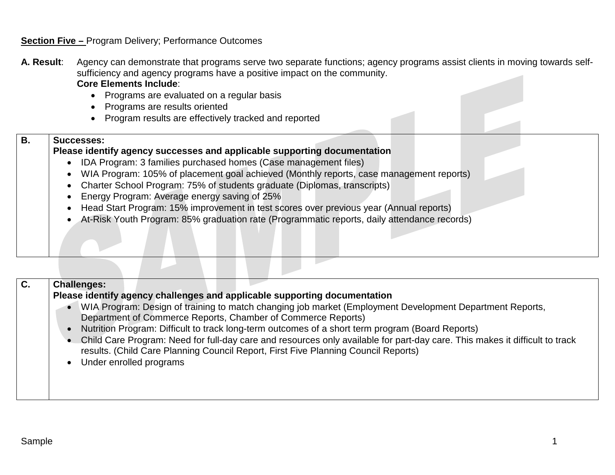#### **Section Five –** Program Delivery; Performance Outcomes

- **A. Result**: Agency can demonstrate that programs serve two separate functions; agency programs assist clients in moving towards selfsufficiency and agency programs have a positive impact on the community. **Core Elements Include**:
	- Programs are evaluated on a regular basis
	- Programs are results oriented
	- Program results are effectively tracked and reported

#### **Please identify agency successes and applicable supporting documentation**

- IDA Program: 3 families purchased homes (Case management files)
- WIA Program: 105% of placement goal achieved (Monthly reports, case management reports)
- Charter School Program: 75% of students graduate (Diplomas, transcripts)
- Energy Program: Average energy saving of 25%
- Head Start Program: 15% improvement in test scores over previous year (Annual reports)
- At-Risk Youth Program: 85% graduation rate (Programmatic reports, daily attendance records)

| $\mathbf C$ . | <b>Challenges:</b>                                                                                                                                                                                                |
|---------------|-------------------------------------------------------------------------------------------------------------------------------------------------------------------------------------------------------------------|
|               | Please identify agency challenges and applicable supporting documentation                                                                                                                                         |
|               | WIA Program: Design of training to match changing job market (Employment Development Department Reports,<br>Department of Commerce Reports, Chamber of Commerce Reports)                                          |
|               | Nutrition Program: Difficult to track long-term outcomes of a short term program (Board Reports)                                                                                                                  |
|               | Child Care Program: Need for full-day care and resources only available for part-day care. This makes it difficult to track<br>results. (Child Care Planning Council Report, First Five Planning Council Reports) |
|               | Under enrolled programs                                                                                                                                                                                           |
|               |                                                                                                                                                                                                                   |

**B. Successes:**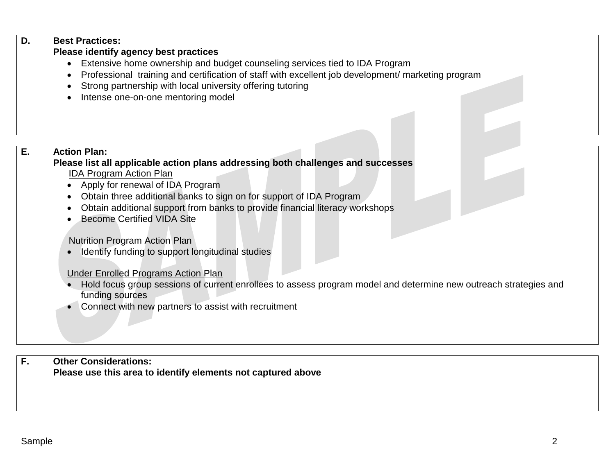| D. | <b>Best Practices:</b>                                                                               |
|----|------------------------------------------------------------------------------------------------------|
|    | Please identify agency best practices                                                                |
|    | Extensive home ownership and budget counseling services tied to IDA Program                          |
|    | • Professional training and certification of staff with excellent job development/ marketing program |
|    | Strong partnership with local university offering tutoring                                           |
|    | Intense one-on-one mentoring model                                                                   |
|    |                                                                                                      |
|    |                                                                                                      |
|    |                                                                                                      |

| Ε. | <b>Action Plan:</b>                                                                                              |
|----|------------------------------------------------------------------------------------------------------------------|
|    | Please list all applicable action plans addressing both challenges and successes                                 |
|    | <b>IDA Program Action Plan</b>                                                                                   |
|    | • Apply for renewal of IDA Program                                                                               |
|    | Obtain three additional banks to sign on for support of IDA Program<br>$\bullet$                                 |
|    | Obtain additional support from banks to provide financial literacy workshops<br>$\bullet$                        |
|    | <b>Become Certified VIDA Site</b>                                                                                |
|    |                                                                                                                  |
|    | <b>Nutrition Program Action Plan</b>                                                                             |
|    | Identify funding to support longitudinal studies                                                                 |
|    |                                                                                                                  |
|    | <b>Under Enrolled Programs Action Plan</b>                                                                       |
|    | Hold focus group sessions of current enrollees to assess program model and determine new outreach strategies and |
|    | funding sources                                                                                                  |
|    | Connect with new partners to assist with recruitment                                                             |
|    |                                                                                                                  |
|    |                                                                                                                  |
|    |                                                                                                                  |
|    |                                                                                                                  |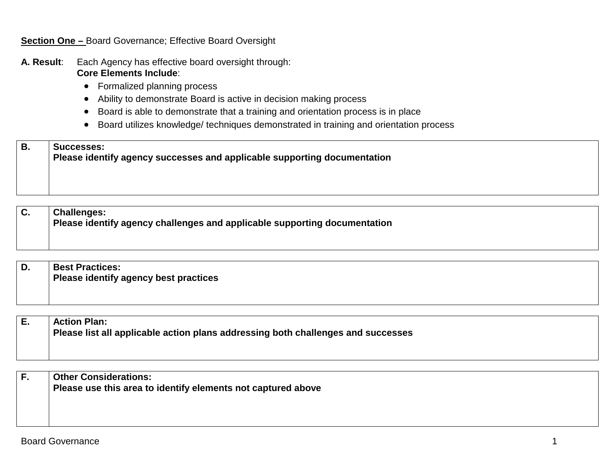#### **Section One –** Board Governance; Effective Board Oversight

- **A. Result**: Each Agency has effective board oversight through: **Core Elements Include**:
	- Formalized planning process
	- Ability to demonstrate Board is active in decision making process
	- Board is able to demonstrate that a training and orientation process is in place
	- Board utilizes knowledge/ techniques demonstrated in training and orientation process

#### **B. Successes:**

**Please identify agency successes and applicable supporting documentation**

**C. Challenges: Please identify agency challenges and applicable supporting documentation**

**D. Best Practices: Please identify agency best practices**

| <b>Action Plan:</b>                                                              |
|----------------------------------------------------------------------------------|
| Please list all applicable action plans addressing both challenges and successes |

| г. | <b>Other Considerations:</b>                                 |
|----|--------------------------------------------------------------|
|    | Please use this area to identify elements not captured above |
|    |                                                              |
|    |                                                              |
|    |                                                              |
|    |                                                              |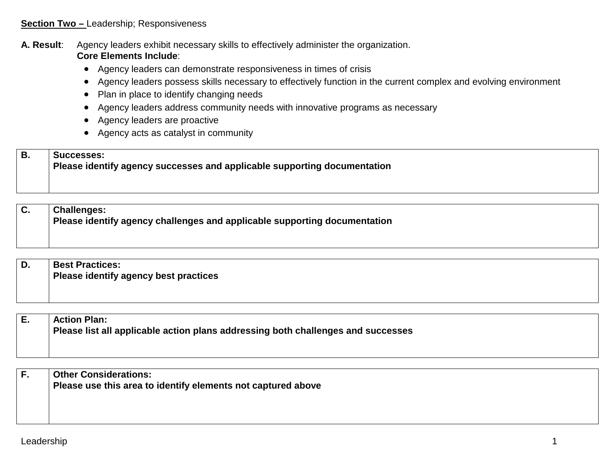#### **Section Two** - Leadership; Responsiveness

**A. Result**: Agency leaders exhibit necessary skills to effectively administer the organization. **Core Elements Include**:

- Agency leaders can demonstrate responsiveness in times of crisis
- Agency leaders possess skills necessary to effectively function in the current complex and evolving environment
- Plan in place to identify changing needs
- Agency leaders address community needs with innovative programs as necessary
- Agency leaders are proactive
- Agency acts as catalyst in community

## **B. Successes: Please identify agency successes and applicable supporting documentation**

**C. Challenges: Please identify agency challenges and applicable supporting documentation**

**D. Best Practices: Please identify agency best practices**

| I E. | <b>Action Plan:</b>                                                              |
|------|----------------------------------------------------------------------------------|
|      | Please list all applicable action plans addressing both challenges and successes |
|      |                                                                                  |

| ۱F. | <b>Other Considerations:</b>                                 |
|-----|--------------------------------------------------------------|
|     | Please use this area to identify elements not captured above |
|     |                                                              |
|     |                                                              |
|     |                                                              |
|     |                                                              |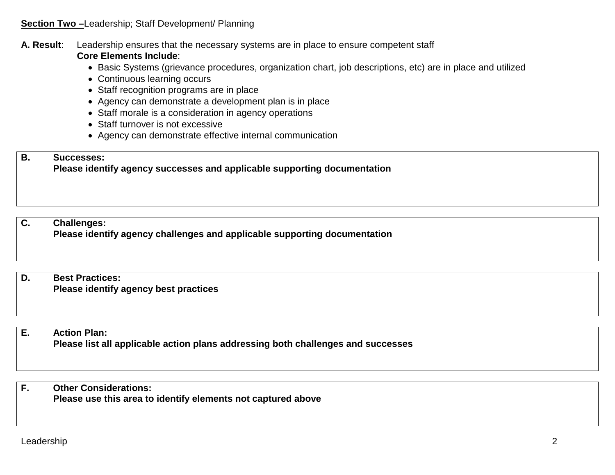#### **Section Two-Leadership; Staff Development/ Planning**

#### **A. Result**: Leadership ensures that the necessary systems are in place to ensure competent staff **Core Elements Include**:

- Basic Systems (grievance procedures, organization chart, job descriptions, etc) are in place and utilized
- Continuous learning occurs
- Staff recognition programs are in place
- Agency can demonstrate a development plan is in place
- Staff morale is a consideration in agency operations
- Staff turnover is not excessive
- Agency can demonstrate effective internal communication

## **B. Successes: Please identify agency successes and applicable supporting documentation**

### **C. Challenges: Please identify agency challenges and applicable supporting documentation**

| D. | <b>Best Practices:</b>                |
|----|---------------------------------------|
|    | Please identify agency best practices |
|    |                                       |
|    |                                       |

**E. Action Plan: Please list all applicable action plans addressing both challenges and successes**

| <b>Other Considerations:</b>                                 |
|--------------------------------------------------------------|
| Please use this area to identify elements not captured above |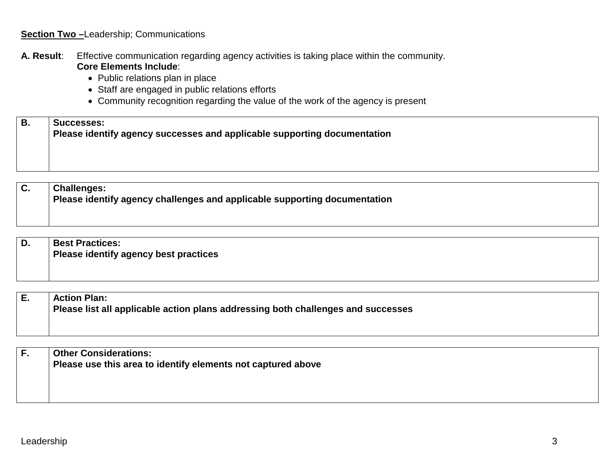#### **Section Two-Leadership; Communications**

- **A. Result**: Effective communication regarding agency activities is taking place within the community. **Core Elements Include**:
	- Public relations plan in place
	- Staff are engaged in public relations efforts
	- Community recognition regarding the value of the work of the agency is present

| ΙB. | <b>Successes:</b>                                                        |
|-----|--------------------------------------------------------------------------|
|     | Please identify agency successes and applicable supporting documentation |

**C. Challenges: Please identify agency challenges and applicable supporting documentation**

| D. | <b>Best Practices:</b><br><b>Please identify agency best practices</b> |
|----|------------------------------------------------------------------------|
|    |                                                                        |

| Е. | <b>Action Plan:</b>                                                              |
|----|----------------------------------------------------------------------------------|
|    | Please list all applicable action plans addressing both challenges and successes |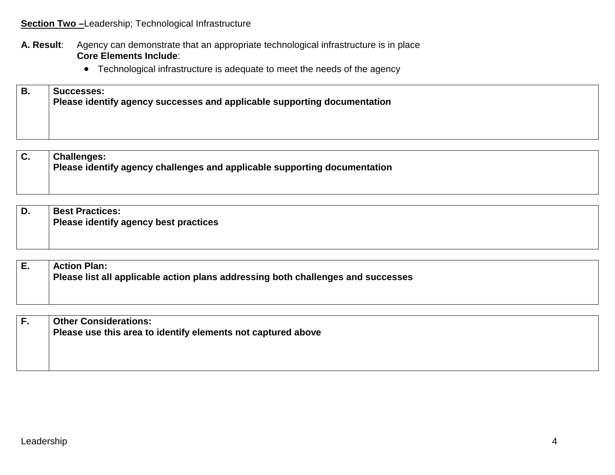#### **Section Two** -Leadership; Technological Infrastructure

#### **A. Result**: Agency can demonstrate that an appropriate technological infrastructure is in place **Core Elements Include**:

• Technological infrastructure is adequate to meet the needs of the agency

## **B. Successes: Please identify agency successes and applicable supporting documentation**

#### **C. Challenges: Please identify agency challenges and applicable supporting documentation**

**D. Best Practices: Please identify agency best practices**

**E. Action Plan: Please list all applicable action plans addressing both challenges and successes**

| <b>Other Considerations:</b><br>Please use this area to identify elements not captured above |
|----------------------------------------------------------------------------------------------|
|                                                                                              |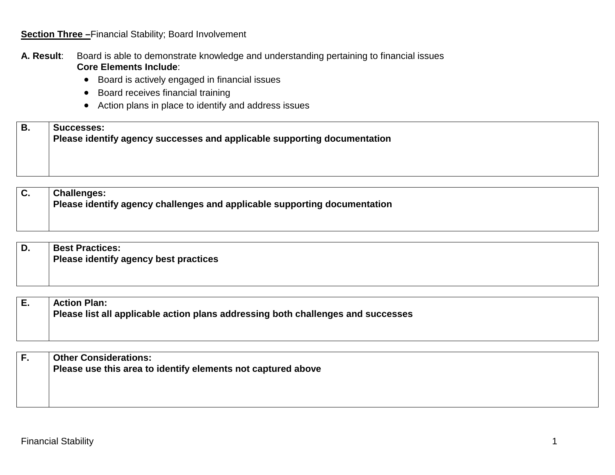#### **Section Three -**Financial Stability; Board Involvement

#### **A. Result**: Board is able to demonstrate knowledge and understanding pertaining to financial issues **Core Elements Include**:

- Board is actively engaged in financial issues
- Board receives financial training
- Action plans in place to identify and address issues

#### **B. Successes: Please identify agency successes and applicable supporting documentation**

| D. | <b>Best Practices:</b>                |
|----|---------------------------------------|
|    | Please identify agency best practices |

| Е. | <b>Action Plan:</b>                                                              |
|----|----------------------------------------------------------------------------------|
|    | Please list all applicable action plans addressing both challenges and successes |

| <b>Other Considerations:</b><br>Please use this area to identify elements not captured above |
|----------------------------------------------------------------------------------------------|
|                                                                                              |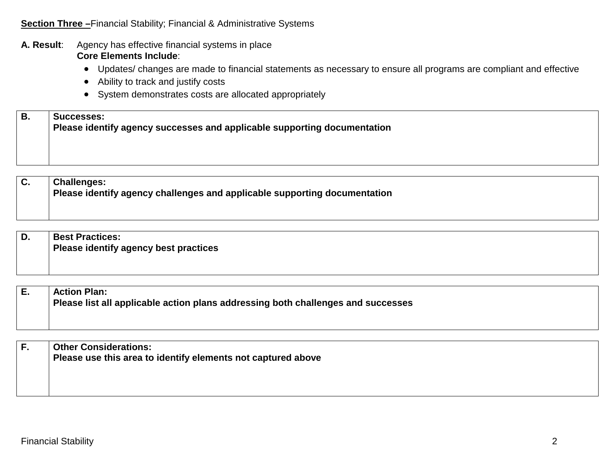#### **A. Result**: Agency has effective financial systems in place **Core Elements Include**:

- Updates/ changes are made to financial statements as necessary to ensure all programs are compliant and effective
- Ability to track and justify costs
- System demonstrates costs are allocated appropriately

# **B. Successes: Please identify agency successes and applicable supporting documentation**

| D. | <b>Best Practices:</b>                |
|----|---------------------------------------|
|    | Please identify agency best practices |
|    |                                       |
|    |                                       |

| <b>Action Plan:</b>                                                              |
|----------------------------------------------------------------------------------|
| Please list all applicable action plans addressing both challenges and successes |

| <b>Other Considerations:</b>                                 |
|--------------------------------------------------------------|
| Please use this area to identify elements not captured above |
|                                                              |
|                                                              |
|                                                              |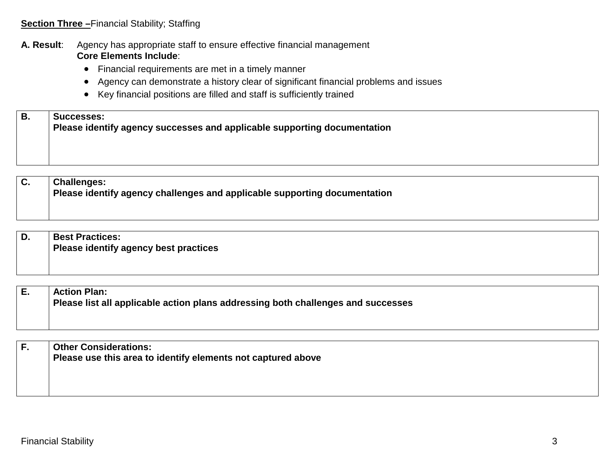#### **A. Result**: Agency has appropriate staff to ensure effective financial management **Core Elements Include**:

- Financial requirements are met in a timely manner
- Agency can demonstrate a history clear of significant financial problems and issues
- Key financial positions are filled and staff is sufficiently trained

| Ð  | Successes:                                                               |
|----|--------------------------------------------------------------------------|
| D. | Please identify agency successes and applicable supporting documentation |
|    |                                                                          |

| D. | <b>Best Practices:</b>                       |
|----|----------------------------------------------|
|    | <b>Please identify agency best practices</b> |
|    |                                              |
|    |                                              |

| ΙE. | <b>Action Plan:</b>                                                              |
|-----|----------------------------------------------------------------------------------|
|     | Please list all applicable action plans addressing both challenges and successes |

| <b>Other Considerations:</b>                                 |
|--------------------------------------------------------------|
| Please use this area to identify elements not captured above |
|                                                              |
|                                                              |
|                                                              |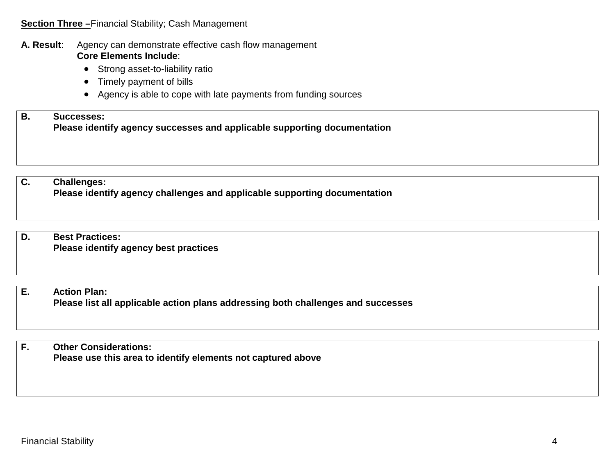#### **Section Three –**Financial Stability; Cash Management

#### **A. Result**: Agency can demonstrate effective cash flow management **Core Elements Include**:

- Strong asset-to-liability ratio
- Timely payment of bills
- Agency is able to cope with late payments from funding sources

## **B. Successes: Please identify agency successes and applicable supporting documentation**

| D. | <b>Best Practices:</b>                |
|----|---------------------------------------|
|    | Please identify agency best practices |
|    |                                       |
|    |                                       |

| <b>Action Plan:</b>                                                              |
|----------------------------------------------------------------------------------|
| Please list all applicable action plans addressing both challenges and successes |

| F. | <b>Other Considerations:</b>                                 |
|----|--------------------------------------------------------------|
|    | Please use this area to identify elements not captured above |
|    |                                                              |
|    |                                                              |
|    |                                                              |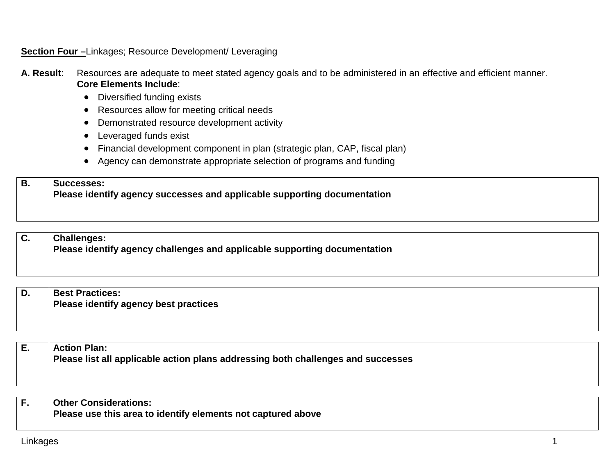#### **Section Four –**Linkages; Resource Development/ Leveraging

- **A. Result**: Resources are adequate to meet stated agency goals and to be administered in an effective and efficient manner. **Core Elements Include**:
	- Diversified funding exists
	- Resources allow for meeting critical needs
	- Demonstrated resource development activity
	- Leveraged funds exist
	- Financial development component in plan (strategic plan, CAP, fiscal plan)
	- Agency can demonstrate appropriate selection of programs and funding

## **B. Successes: Please identify agency successes and applicable supporting documentation**

## **C. Challenges: Please identify agency challenges and applicable supporting documentation**

|  | <b>Best Practices:</b>                |
|--|---------------------------------------|
|  | Please identify agency best practices |
|  |                                       |

**E. Action Plan: Please list all applicable action plans addressing both challenges and successes**

| Other Considerations:                                        |
|--------------------------------------------------------------|
| Please use this area to identify elements not captured above |
|                                                              |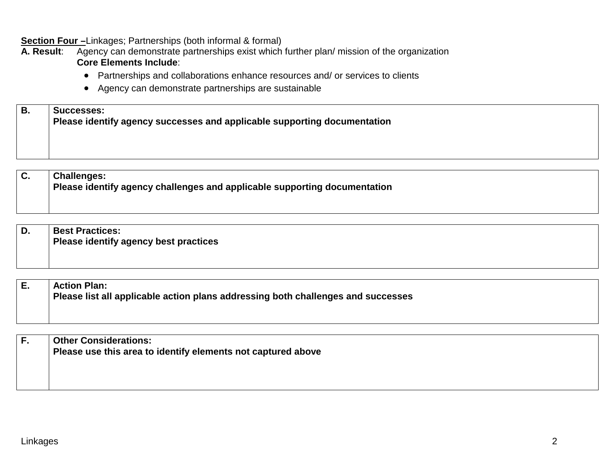**Section Four –** Linkages; Partnerships (both informal & formal)

**A. Result**: Agency can demonstrate partnerships exist which further plan/ mission of the organization **Core Elements Include**:

- Partnerships and collaborations enhance resources and/ or services to clients
- Agency can demonstrate partnerships are sustainable

| <b>B.</b> | Successes:                                                               |
|-----------|--------------------------------------------------------------------------|
|           | Please identify agency successes and applicable supporting documentation |
|           |                                                                          |

## **C. Challenges: Please identify agency challenges and applicable supporting documentation**

| D. | <b>Best Practices:</b>                |
|----|---------------------------------------|
|    | Please identify agency best practices |
|    |                                       |

| E. | <b>Action Plan:</b>                                                              |
|----|----------------------------------------------------------------------------------|
|    | Please list all applicable action plans addressing both challenges and successes |
|    |                                                                                  |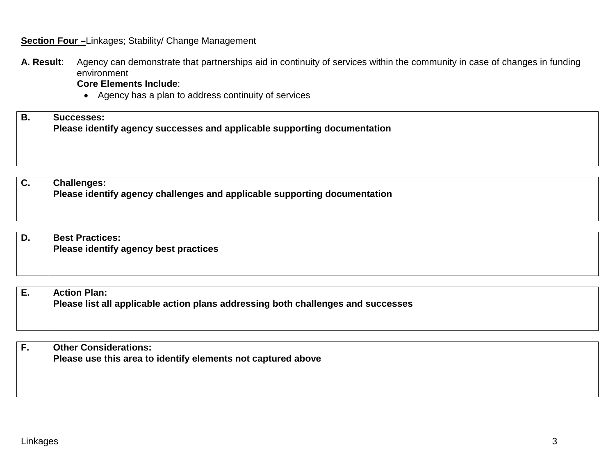#### **Section Four -**Linkages; Stability/ Change Management

**A. Result**: Agency can demonstrate that partnerships aid in continuity of services within the community in case of changes in funding environment

**Core Elements Include**:

• Agency has a plan to address continuity of services

| В. | <b>Successes:</b><br>Please identify agency successes and applicable supporting documentation |
|----|-----------------------------------------------------------------------------------------------|
|    |                                                                                               |

| D. | <b>Best Practices:</b>                       |
|----|----------------------------------------------|
|    | <b>Please identify agency best practices</b> |
|    |                                              |
|    |                                              |

| Е. | <b>Action Plan:</b>                                                              |
|----|----------------------------------------------------------------------------------|
|    | Please list all applicable action plans addressing both challenges and successes |

| <b>Other Considerations:</b>                                 |
|--------------------------------------------------------------|
| Please use this area to identify elements not captured above |
|                                                              |
|                                                              |
|                                                              |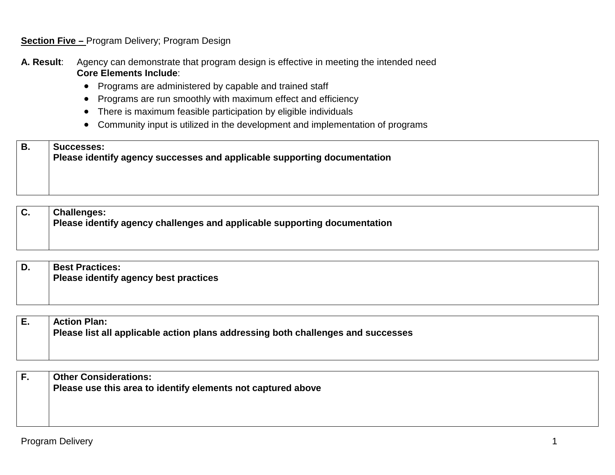**Section Five –** Program Delivery; Program Design

**A. Result**: Agency can demonstrate that program design is effective in meeting the intended need **Core Elements Include**:

- Programs are administered by capable and trained staff
- Programs are run smoothly with maximum effect and efficiency
- There is maximum feasible participation by eligible individuals
- Community input is utilized in the development and implementation of programs

## **B. Successes: Please identify agency successes and applicable supporting documentation**

**C. Challenges: Please identify agency challenges and applicable supporting documentation**

**D. Best Practices: Please identify agency best practices**

| <b>Action Plan:</b>                                                              |
|----------------------------------------------------------------------------------|
| Please list all applicable action plans addressing both challenges and successes |

| <b>Other Considerations:</b>                                 |
|--------------------------------------------------------------|
| Please use this area to identify elements not captured above |
|                                                              |
|                                                              |
|                                                              |
|                                                              |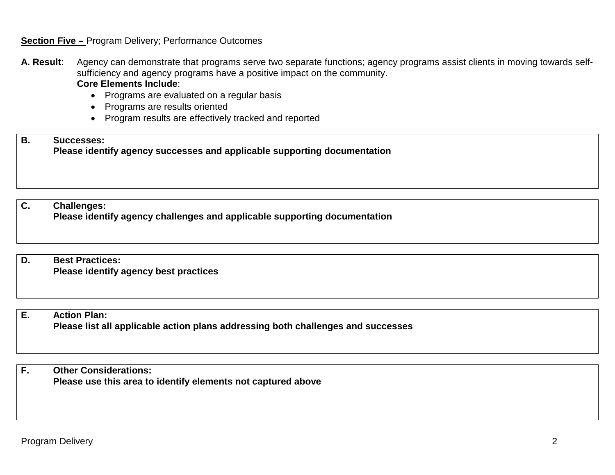#### **Section Five –** Program Delivery; Performance Outcomes

- **A. Result**: Agency can demonstrate that programs serve two separate functions; agency programs assist clients in moving towards selfsufficiency and agency programs have a positive impact on the community. **Core Elements Include**:
	- Programs are evaluated on a regular basis
	- Programs are results oriented
	- Program results are effectively tracked and reported

**B. Successes: Please identify agency successes and applicable supporting documentation**

**C. Challenges: Please identify agency challenges and applicable supporting documentation**

**D. Best Practices: Please identify agency best practices**

| Е. | <b>Action Plan:</b>                                                              |
|----|----------------------------------------------------------------------------------|
|    | Please list all applicable action plans addressing both challenges and successes |

| <b>Other Considerations:</b><br>Please use this area to identify elements not captured above |
|----------------------------------------------------------------------------------------------|
|                                                                                              |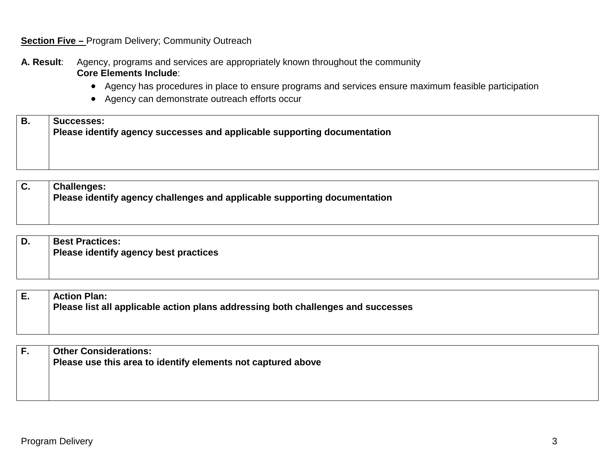#### **Section Five -** Program Delivery; Community Outreach

**A. Result**: Agency, programs and services are appropriately known throughout the community **Core Elements Include**:

- Agency has procedures in place to ensure programs and services ensure maximum feasible participation
- Agency can demonstrate outreach efforts occur

| B | <b>Successes:</b>                                                        |
|---|--------------------------------------------------------------------------|
|   | Please identify agency successes and applicable supporting documentation |
|   |                                                                          |

**C. Challenges: Please identify agency challenges and applicable supporting documentation**

| D. | <b>Best Practices:</b>                |
|----|---------------------------------------|
|    | Please identify agency best practices |
|    |                                       |
|    |                                       |

| <b>Action Plan:</b>                                                              |
|----------------------------------------------------------------------------------|
| Please list all applicable action plans addressing both challenges and successes |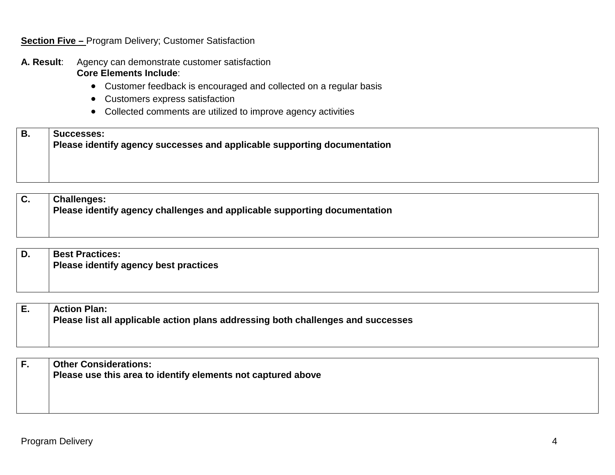#### **Section Five –** Program Delivery; Customer Satisfaction

- **A. Result**: Agency can demonstrate customer satisfaction **Core Elements Include**:
	- Customer feedback is encouraged and collected on a regular basis
	- Customers express satisfaction
	- Collected comments are utilized to improve agency activities

| ΈB. | ∣ Successes:<br>$\mid$ Please identify agency successes and applicable supporting documentation |
|-----|-------------------------------------------------------------------------------------------------|
|     |                                                                                                 |

**C. Challenges: Please identify agency challenges and applicable supporting documentation**

**D. Best Practices: Please identify agency best practices**

**E. Action Plan: Please list all applicable action plans addressing both challenges and successes**